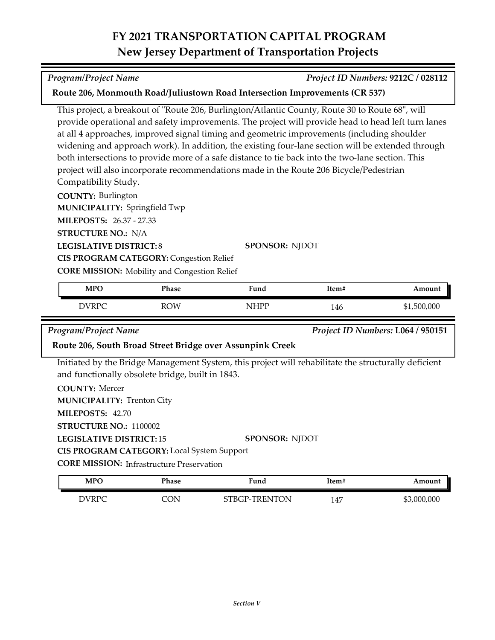# **FY 2021 TRANSPORTATION CAPITAL PROGRAM New Jersey Department of Transportation Projects**

This project, a breakout of "Route 206, Burlington/Atlantic County, Route 30 to Route 68", will provide operational and safety improvements. The project will provide head to head left turn lanes at all 4 approaches, improved signal timing and geometric improvements (including shoulder widening and approach work). In addition, the existing four-lane section will be extended through

**Route 206, Monmouth Road/Juliustown Road Intersection Improvements (CR 537)**

both intersections to provide more of a safe distance to tie back into the two-lane section. This project will also incorporate recommendations made in the Route 206 Bicycle/Pedestrian

| <b>MPO</b>                    | Phase                                               | Fund                  | Item# | An |
|-------------------------------|-----------------------------------------------------|-----------------------|-------|----|
|                               | <b>CORE MISSION:</b> Mobility and Congestion Relief |                       |       |    |
|                               | <b>CIS PROGRAM CATEGORY: Congestion Relief</b>      |                       |       |    |
| <b>LEGISLATIVE DISTRICT:8</b> |                                                     | <b>SPONSOR: NIDOT</b> |       |    |
| <b>STRUCTURE NO.: N/A</b>     |                                                     |                       |       |    |
| MILEPOSTS: 26.37 - 27.33      |                                                     |                       |       |    |
| MUNICIPALITY: Springfield Twp |                                                     |                       |       |    |

| <b>MPO</b>   | Phase      | -<br>Fund  | item# | Amount      |
|--------------|------------|------------|-------|-------------|
| <b>DVRPC</b> | <b>ROW</b> | <b>HPP</b> | 146   | \$1,500,000 |

**COUNTY:** Burlington

Compatibility Study.

*Program/Project Name Project ID Numbers:* **L064 / 950151**

### **Route 206, South Broad Street Bridge over Assunpink Creek**

Initiated by the Bridge Management System, this project will rehabilitate the structurally deficient and functionally obsolete bridge, built in 1843.

**COUNTY:** Mercer

**MUNICIPALITY: Trenton City** 

**MILEPOSTS:** 42.70

**STRUCTURE NO.:** 1100002

**LEGISLATIVE DISTRICT:** 15 **SPONSOR:** NJDOT

**CIS PROGRAM CATEGORY:** Local System Support

**CORE MISSION: Infrastructure Preservation** 

| <b>MPO</b> | Phase | Fund          | Item# | Amount      |
|------------|-------|---------------|-------|-------------|
| DVRPC      | `ON   | STBGP-TRENTON | 147   | \$3,000,000 |